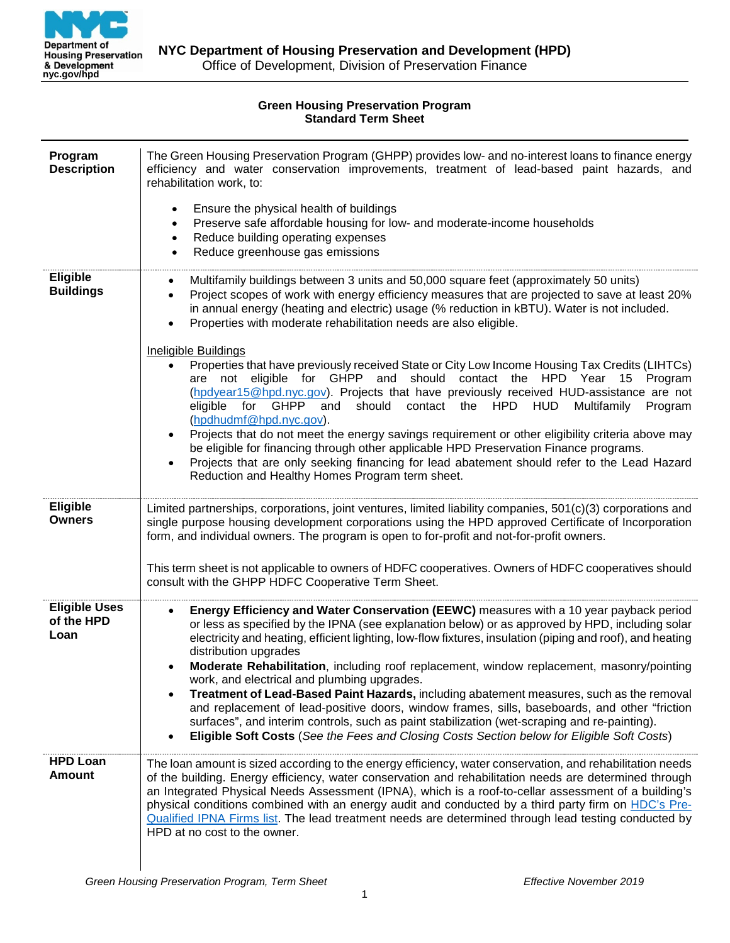

## **Green Housing Preservation Program Standard Term Sheet**

| Program<br><b>Description</b>              | The Green Housing Preservation Program (GHPP) provides low- and no-interest loans to finance energy<br>efficiency and water conservation improvements, treatment of lead-based paint hazards, and<br>rehabilitation work, to:<br>Ensure the physical health of buildings<br>$\bullet$<br>Preserve safe affordable housing for low- and moderate-income households<br>$\bullet$<br>Reduce building operating expenses<br>$\bullet$<br>Reduce greenhouse gas emissions<br>$\bullet$                                                                                                                                                                                                                                                                                                                                                                                                                                                                                                                                                                                                                                                                                                               |
|--------------------------------------------|-------------------------------------------------------------------------------------------------------------------------------------------------------------------------------------------------------------------------------------------------------------------------------------------------------------------------------------------------------------------------------------------------------------------------------------------------------------------------------------------------------------------------------------------------------------------------------------------------------------------------------------------------------------------------------------------------------------------------------------------------------------------------------------------------------------------------------------------------------------------------------------------------------------------------------------------------------------------------------------------------------------------------------------------------------------------------------------------------------------------------------------------------------------------------------------------------|
| <b>Eligible</b><br><b>Buildings</b>        | Multifamily buildings between 3 units and 50,000 square feet (approximately 50 units)<br>$\bullet$<br>Project scopes of work with energy efficiency measures that are projected to save at least 20%<br>$\bullet$<br>in annual energy (heating and electric) usage (% reduction in kBTU). Water is not included.<br>Properties with moderate rehabilitation needs are also eligible.<br><b>Ineligible Buildings</b><br>Properties that have previously received State or City Low Income Housing Tax Credits (LIHTCs)<br>$\bullet$<br>are not eligible for GHPP and should contact the HPD Year 15 Program<br>(hpdyear15@hpd.nyc.gov). Projects that have previously received HUD-assistance are not<br>for GHPP<br>should<br>contact the HPD<br>eligible<br>and<br><b>HUD</b><br>Multifamily<br>Program<br>(hpdhudmf@hpd.nyc.gov).<br>Projects that do not meet the energy savings requirement or other eligibility criteria above may<br>$\bullet$<br>be eligible for financing through other applicable HPD Preservation Finance programs.<br>Projects that are only seeking financing for lead abatement should refer to the Lead Hazard<br>Reduction and Healthy Homes Program term sheet. |
| <b>Eligible</b><br><b>Owners</b>           | Limited partnerships, corporations, joint ventures, limited liability companies, 501(c)(3) corporations and<br>single purpose housing development corporations using the HPD approved Certificate of Incorporation<br>form, and individual owners. The program is open to for-profit and not-for-profit owners.<br>This term sheet is not applicable to owners of HDFC cooperatives. Owners of HDFC cooperatives should<br>consult with the GHPP HDFC Cooperative Term Sheet.                                                                                                                                                                                                                                                                                                                                                                                                                                                                                                                                                                                                                                                                                                                   |
| <b>Eligible Uses</b><br>of the HPD<br>Loan | Energy Efficiency and Water Conservation (EEWC) measures with a 10 year payback period<br>$\bullet$<br>or less as specified by the IPNA (see explanation below) or as approved by HPD, including solar<br>electricity and heating, efficient lighting, low-flow fixtures, insulation (piping and roof), and heating<br>distribution upgrades<br>Moderate Rehabilitation, including roof replacement, window replacement, masonry/pointing<br>work, and electrical and plumbing upgrades.<br>Treatment of Lead-Based Paint Hazards, including abatement measures, such as the removal<br>and replacement of lead-positive doors, window frames, sills, baseboards, and other "friction"<br>surfaces", and interim controls, such as paint stabilization (wet-scraping and re-painting).<br>Eligible Soft Costs (See the Fees and Closing Costs Section below for Eligible Soft Costs)                                                                                                                                                                                                                                                                                                            |
| <b>HPD Loan</b><br><b>Amount</b>           | The loan amount is sized according to the energy efficiency, water conservation, and rehabilitation needs<br>of the building. Energy efficiency, water conservation and rehabilitation needs are determined through<br>an Integrated Physical Needs Assessment (IPNA), which is a roof-to-cellar assessment of a building's<br>physical conditions combined with an energy audit and conducted by a third party firm on HDC's Pre-<br>Qualified IPNA Firms list. The lead treatment needs are determined through lead testing conducted by<br>HPD at no cost to the owner.                                                                                                                                                                                                                                                                                                                                                                                                                                                                                                                                                                                                                      |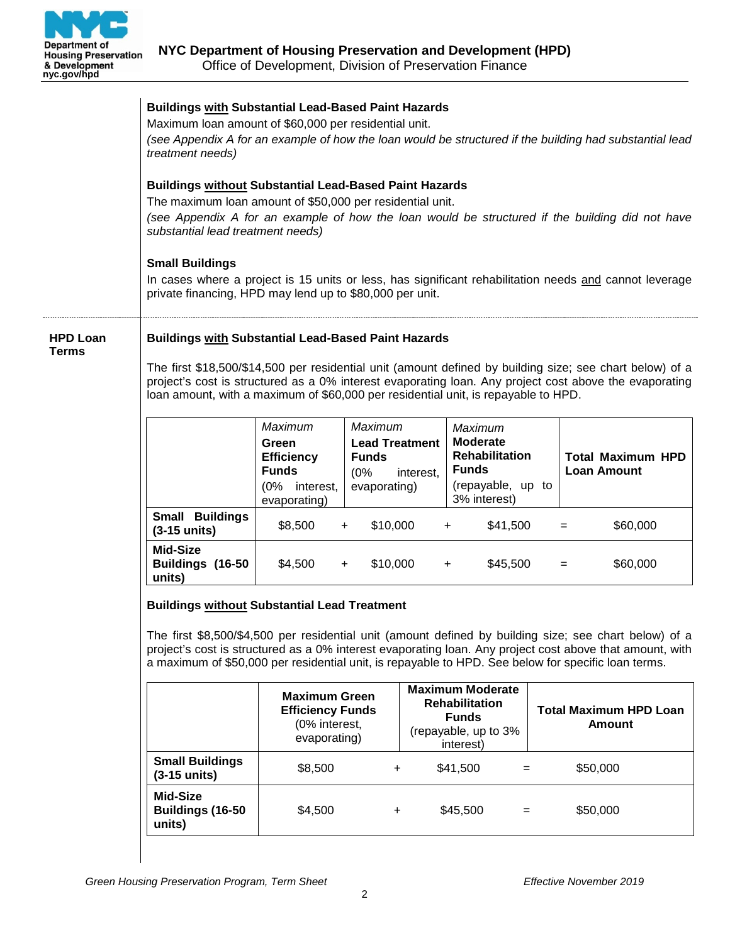

|                          | <b>Buildings with Substantial Lead-Based Paint Hazards</b><br>Maximum loan amount of \$60,000 per residential unit.<br>(see Appendix A for an example of how the loan would be structured if the building had substantial lead<br>treatment needs)                                                                                                                               |                                                                                                                                                                                                                                                                                                                                                                        |                                                                         |           |                                                                                                          |          |                    |                                                |
|--------------------------|----------------------------------------------------------------------------------------------------------------------------------------------------------------------------------------------------------------------------------------------------------------------------------------------------------------------------------------------------------------------------------|------------------------------------------------------------------------------------------------------------------------------------------------------------------------------------------------------------------------------------------------------------------------------------------------------------------------------------------------------------------------|-------------------------------------------------------------------------|-----------|----------------------------------------------------------------------------------------------------------|----------|--------------------|------------------------------------------------|
|                          | <b>Buildings without Substantial Lead-Based Paint Hazards</b><br>The maximum loan amount of \$50,000 per residential unit.<br>(see Appendix A for an example of how the loan would be structured if the building did not have<br>substantial lead treatment needs)                                                                                                               |                                                                                                                                                                                                                                                                                                                                                                        |                                                                         |           |                                                                                                          |          |                    |                                                |
|                          | <b>Small Buildings</b><br>In cases where a project is 15 units or less, has significant rehabilitation needs and cannot leverage<br>private financing, HPD may lend up to \$80,000 per unit.                                                                                                                                                                                     |                                                                                                                                                                                                                                                                                                                                                                        |                                                                         |           |                                                                                                          |          |                    |                                                |
| <b>HPD Loan</b><br>Terms |                                                                                                                                                                                                                                                                                                                                                                                  | <b>Buildings with Substantial Lead-Based Paint Hazards</b><br>The first \$18,500/\$14,500 per residential unit (amount defined by building size; see chart below) of a<br>project's cost is structured as a 0% interest evaporating loan. Any project cost above the evaporating<br>loan amount, with a maximum of \$60,000 per residential unit, is repayable to HPD. |                                                                         |           |                                                                                                          |          |                    |                                                |
|                          |                                                                                                                                                                                                                                                                                                                                                                                  | Maximum<br>Green<br><b>Efficiency</b><br><b>Funds</b><br>(0% interest,<br>evaporating)                                                                                                                                                                                                                                                                                 | Maximum<br><b>Lead Treatment</b><br><b>Funds</b><br>(0%<br>evaporating) | interest, | Maximum<br><b>Moderate</b><br><b>Rehabilitation</b><br><b>Funds</b><br>(repayable, up to<br>3% interest) |          | <b>Loan Amount</b> | <b>Total Maximum HPD</b>                       |
|                          | Small Buildings<br>$(3-15$ units)                                                                                                                                                                                                                                                                                                                                                | \$8,500                                                                                                                                                                                                                                                                                                                                                                | \$10,000<br>$+$                                                         |           | $+$                                                                                                      | \$41,500 | $=$                | \$60,000                                       |
|                          | Mid-Size<br>Buildings (16-50<br>units)                                                                                                                                                                                                                                                                                                                                           | \$4,500                                                                                                                                                                                                                                                                                                                                                                | \$10,000<br>$\ddot{}$                                                   |           | $+$                                                                                                      | \$45,500 | $=$                | \$60,000                                       |
|                          | <b>Buildings without Substantial Lead Treatment</b><br>The first \$8,500/\$4,500 per residential unit (amount defined by building size; see chart below) of a<br>project's cost is structured as a 0% interest evaporating loan. Any project cost above that amount, with<br>a maximum of \$50,000 per residential unit, is repayable to HPD. See below for specific loan terms. |                                                                                                                                                                                                                                                                                                                                                                        |                                                                         |           |                                                                                                          |          |                    |                                                |
|                          |                                                                                                                                                                                                                                                                                                                                                                                  | <b>Maximum Green</b><br><b>Efficiency Funds</b><br>(0% interest,<br>evaporating)                                                                                                                                                                                                                                                                                       |                                                                         |           | <b>Maximum Moderate</b><br><b>Rehabilitation</b><br><b>Funds</b><br>(repayable, up to 3%<br>interest)    |          |                    | <b>Total Maximum HPD Loan</b><br><b>Amount</b> |
|                          | <b>Small Buildings</b><br>$(3-15$ units)                                                                                                                                                                                                                                                                                                                                         | \$8,500                                                                                                                                                                                                                                                                                                                                                                | +                                                                       |           | \$41,500                                                                                                 | $=$      | \$50,000           |                                                |
|                          | Mid-Size<br>Buildings (16-50<br>units)                                                                                                                                                                                                                                                                                                                                           | \$4,500                                                                                                                                                                                                                                                                                                                                                                | ÷.                                                                      |           | \$45,500                                                                                                 | $=$      | \$50,000           |                                                |
|                          |                                                                                                                                                                                                                                                                                                                                                                                  |                                                                                                                                                                                                                                                                                                                                                                        |                                                                         |           |                                                                                                          |          |                    |                                                |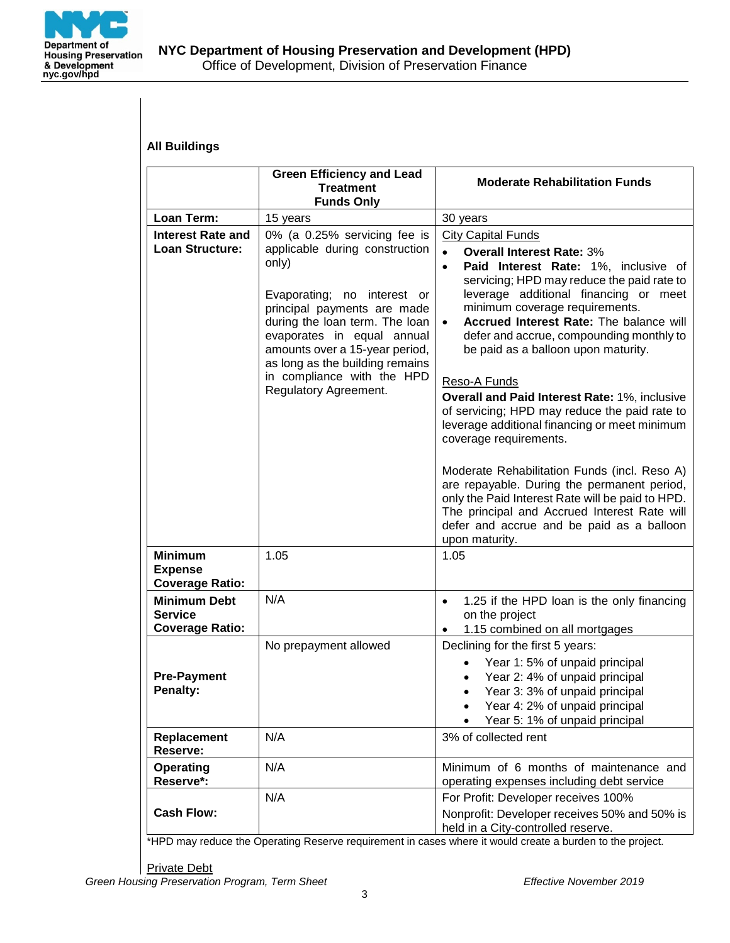

| <b>All Buildings</b>                                            |                                                                                                                                                                                                                                                                                                                                   |                                                                                                                                                                                                                                                                                                                                                                                                                                                                                                                                                                                                                                                                                                                                                                                                                                          |
|-----------------------------------------------------------------|-----------------------------------------------------------------------------------------------------------------------------------------------------------------------------------------------------------------------------------------------------------------------------------------------------------------------------------|------------------------------------------------------------------------------------------------------------------------------------------------------------------------------------------------------------------------------------------------------------------------------------------------------------------------------------------------------------------------------------------------------------------------------------------------------------------------------------------------------------------------------------------------------------------------------------------------------------------------------------------------------------------------------------------------------------------------------------------------------------------------------------------------------------------------------------------|
|                                                                 | <b>Green Efficiency and Lead</b><br><b>Treatment</b><br><b>Funds Only</b>                                                                                                                                                                                                                                                         | <b>Moderate Rehabilitation Funds</b>                                                                                                                                                                                                                                                                                                                                                                                                                                                                                                                                                                                                                                                                                                                                                                                                     |
| Loan Term:                                                      | 15 years                                                                                                                                                                                                                                                                                                                          | 30 years                                                                                                                                                                                                                                                                                                                                                                                                                                                                                                                                                                                                                                                                                                                                                                                                                                 |
| <b>Interest Rate and</b><br>Loan Structure:                     | 0% (a 0.25% servicing fee is<br>applicable during construction<br>only)<br>Evaporating; no interest or<br>principal payments are made<br>during the loan term. The loan<br>evaporates in equal annual<br>amounts over a 15-year period,<br>as long as the building remains<br>in compliance with the HPD<br>Regulatory Agreement. | <b>City Capital Funds</b><br><b>Overall Interest Rate: 3%</b><br>Paid Interest Rate: 1%, inclusive of<br>$\bullet$<br>servicing; HPD may reduce the paid rate to<br>leverage additional financing or meet<br>minimum coverage requirements.<br>Accrued Interest Rate: The balance will<br>defer and accrue, compounding monthly to<br>be paid as a balloon upon maturity.<br>Reso-A Funds<br>Overall and Paid Interest Rate: 1%, inclusive<br>of servicing; HPD may reduce the paid rate to<br>leverage additional financing or meet minimum<br>coverage requirements.<br>Moderate Rehabilitation Funds (incl. Reso A)<br>are repayable. During the permanent period,<br>only the Paid Interest Rate will be paid to HPD.<br>The principal and Accrued Interest Rate will<br>defer and accrue and be paid as a balloon<br>upon maturity. |
| <b>Minimum</b><br><b>Expense</b><br><b>Coverage Ratio:</b>      | 1.05                                                                                                                                                                                                                                                                                                                              | 1.05                                                                                                                                                                                                                                                                                                                                                                                                                                                                                                                                                                                                                                                                                                                                                                                                                                     |
| <b>Minimum Debt</b><br><b>Service</b><br><b>Coverage Ratio:</b> | N/A                                                                                                                                                                                                                                                                                                                               | 1.25 if the HPD loan is the only financing<br>$\bullet$<br>on the project<br>1.15 combined on all mortgages                                                                                                                                                                                                                                                                                                                                                                                                                                                                                                                                                                                                                                                                                                                              |
| <b>Pre-Payment</b><br><b>Penalty:</b>                           | No prepayment allowed                                                                                                                                                                                                                                                                                                             | Declining for the first 5 years:<br>Year 1:5% of unpaid principal<br>Year 2: 4% of unpaid principal<br>Year 3: 3% of unpaid principal<br>Year 4: 2% of unpaid principal<br>Year 5: 1% of unpaid principal                                                                                                                                                                                                                                                                                                                                                                                                                                                                                                                                                                                                                                |
| Replacement<br>Reserve:                                         | N/A                                                                                                                                                                                                                                                                                                                               | 3% of collected rent                                                                                                                                                                                                                                                                                                                                                                                                                                                                                                                                                                                                                                                                                                                                                                                                                     |
| Operating<br>Reserve*:                                          | N/A                                                                                                                                                                                                                                                                                                                               | Minimum of 6 months of maintenance and<br>operating expenses including debt service                                                                                                                                                                                                                                                                                                                                                                                                                                                                                                                                                                                                                                                                                                                                                      |
| <b>Cash Flow:</b>                                               | N/A                                                                                                                                                                                                                                                                                                                               | For Profit: Developer receives 100%<br>Nonprofit: Developer receives 50% and 50% is<br>held in a City-controlled reserve.                                                                                                                                                                                                                                                                                                                                                                                                                                                                                                                                                                                                                                                                                                                |

\*HPD may reduce the Operating Reserve requirement in cases where it would create a burden to the project.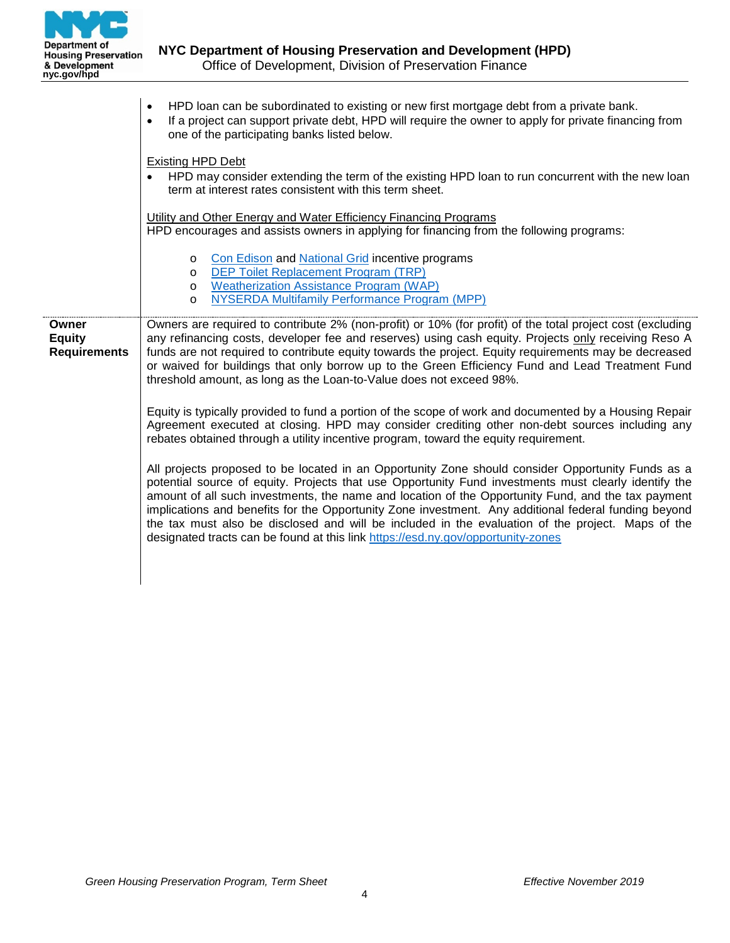

|                                               | HPD loan can be subordinated to existing or new first mortgage debt from a private bank.<br>If a project can support private debt, HPD will require the owner to apply for private financing from<br>$\bullet$<br>one of the participating banks listed below.                                                                                                                                                                                                                                                                                                                                                   |  |  |  |  |  |
|-----------------------------------------------|------------------------------------------------------------------------------------------------------------------------------------------------------------------------------------------------------------------------------------------------------------------------------------------------------------------------------------------------------------------------------------------------------------------------------------------------------------------------------------------------------------------------------------------------------------------------------------------------------------------|--|--|--|--|--|
|                                               | <b>Existing HPD Debt</b><br>HPD may consider extending the term of the existing HPD loan to run concurrent with the new loan<br>term at interest rates consistent with this term sheet.                                                                                                                                                                                                                                                                                                                                                                                                                          |  |  |  |  |  |
|                                               | Utility and Other Energy and Water Efficiency Financing Programs<br>HPD encourages and assists owners in applying for financing from the following programs:                                                                                                                                                                                                                                                                                                                                                                                                                                                     |  |  |  |  |  |
|                                               | <b>Con Edison and National Grid incentive programs</b><br>$\circ$<br>o DEP Toilet Replacement Program (TRP)<br><b>Weatherization Assistance Program (WAP)</b><br>$\circ$<br>NYSERDA Multifamily Performance Program (MPP)<br>$\circ$                                                                                                                                                                                                                                                                                                                                                                             |  |  |  |  |  |
| Owner<br><b>Equity</b><br><b>Requirements</b> | Owners are required to contribute 2% (non-profit) or 10% (for profit) of the total project cost (excluding<br>any refinancing costs, developer fee and reserves) using cash equity. Projects only receiving Reso A<br>funds are not required to contribute equity towards the project. Equity requirements may be decreased<br>or waived for buildings that only borrow up to the Green Efficiency Fund and Lead Treatment Fund<br>threshold amount, as long as the Loan-to-Value does not exceed 98%.                                                                                                           |  |  |  |  |  |
|                                               | Equity is typically provided to fund a portion of the scope of work and documented by a Housing Repair<br>Agreement executed at closing. HPD may consider crediting other non-debt sources including any<br>rebates obtained through a utility incentive program, toward the equity requirement.                                                                                                                                                                                                                                                                                                                 |  |  |  |  |  |
|                                               | All projects proposed to be located in an Opportunity Zone should consider Opportunity Funds as a<br>potential source of equity. Projects that use Opportunity Fund investments must clearly identify the<br>amount of all such investments, the name and location of the Opportunity Fund, and the tax payment<br>implications and benefits for the Opportunity Zone investment. Any additional federal funding beyond<br>the tax must also be disclosed and will be included in the evaluation of the project. Maps of the<br>designated tracts can be found at this link https://esd.ny.gov/opportunity-zones |  |  |  |  |  |
|                                               |                                                                                                                                                                                                                                                                                                                                                                                                                                                                                                                                                                                                                  |  |  |  |  |  |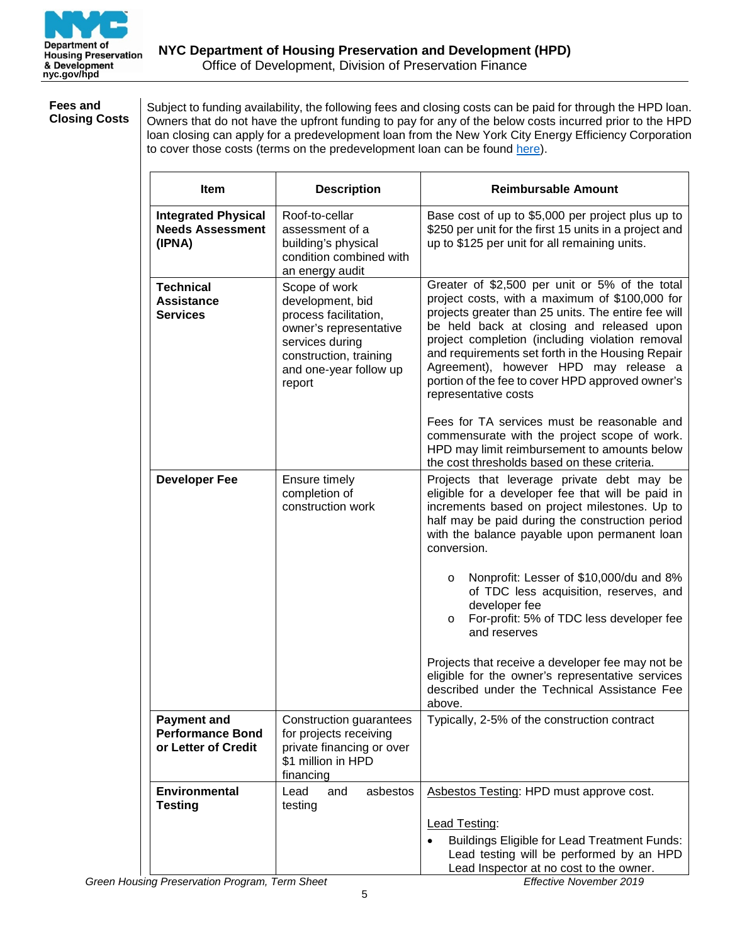

#### **Fees and Closing Costs**

Subject to funding availability, the following fees and closing costs can be paid for through the HPD loan. Owners that do not have the upfront funding to pay for any of the below costs incurred prior to the HPD loan closing can apply for a predevelopment loan from the New York City Energy Efficiency Corporation to cover those costs (terms on the predevelopment loan can be found [here\)](https://www.nyceec.com/ghpp/).

| <b>Item</b>                                                          | <b>Description</b>                                                                                                                                                    | <b>Reimbursable Amount</b>                                                                                                                                                                                                                                                                                                                                                                                                       |
|----------------------------------------------------------------------|-----------------------------------------------------------------------------------------------------------------------------------------------------------------------|----------------------------------------------------------------------------------------------------------------------------------------------------------------------------------------------------------------------------------------------------------------------------------------------------------------------------------------------------------------------------------------------------------------------------------|
| <b>Integrated Physical</b><br><b>Needs Assessment</b><br>(IPNA)      | Roof-to-cellar<br>assessment of a<br>building's physical<br>condition combined with<br>an energy audit                                                                | Base cost of up to \$5,000 per project plus up to<br>\$250 per unit for the first 15 units in a project and<br>up to \$125 per unit for all remaining units.                                                                                                                                                                                                                                                                     |
| <b>Technical</b><br><b>Assistance</b><br><b>Services</b>             | Scope of work<br>development, bid<br>process facilitation,<br>owner's representative<br>services during<br>construction, training<br>and one-year follow up<br>report | Greater of \$2,500 per unit or 5% of the total<br>project costs, with a maximum of \$100,000 for<br>projects greater than 25 units. The entire fee will<br>be held back at closing and released upon<br>project completion (including violation removal<br>and requirements set forth in the Housing Repair<br>Agreement), however HPD may release a<br>portion of the fee to cover HPD approved owner's<br>representative costs |
|                                                                      |                                                                                                                                                                       | Fees for TA services must be reasonable and<br>commensurate with the project scope of work.<br>HPD may limit reimbursement to amounts below<br>the cost thresholds based on these criteria.                                                                                                                                                                                                                                      |
| <b>Developer Fee</b>                                                 | Ensure timely<br>completion of<br>construction work                                                                                                                   | Projects that leverage private debt may be<br>eligible for a developer fee that will be paid in<br>increments based on project milestones. Up to<br>half may be paid during the construction period<br>with the balance payable upon permanent loan<br>conversion.                                                                                                                                                               |
|                                                                      |                                                                                                                                                                       | Nonprofit: Lesser of \$10,000/du and 8%<br>$\circ$<br>of TDC less acquisition, reserves, and<br>developer fee<br>For-profit: 5% of TDC less developer fee<br>O<br>and reserves                                                                                                                                                                                                                                                   |
|                                                                      |                                                                                                                                                                       | Projects that receive a developer fee may not be<br>eligible for the owner's representative services<br>described under the Technical Assistance Fee<br>above.                                                                                                                                                                                                                                                                   |
| <b>Payment and</b><br><b>Performance Bond</b><br>or Letter of Credit | Construction guarantees<br>for projects receiving<br>private financing or over<br>\$1 million in HPD<br>financing                                                     | Typically, 2-5% of the construction contract                                                                                                                                                                                                                                                                                                                                                                                     |
| Environmental<br><b>Testing</b>                                      | asbestos<br>and<br>Lead<br>testing                                                                                                                                    | Asbestos Testing: HPD must approve cost.                                                                                                                                                                                                                                                                                                                                                                                         |
|                                                                      |                                                                                                                                                                       | Lead Testing:<br><b>Buildings Eligible for Lead Treatment Funds:</b><br>Lead testing will be performed by an HPD<br>Lead Inspector at no cost to the owner.                                                                                                                                                                                                                                                                      |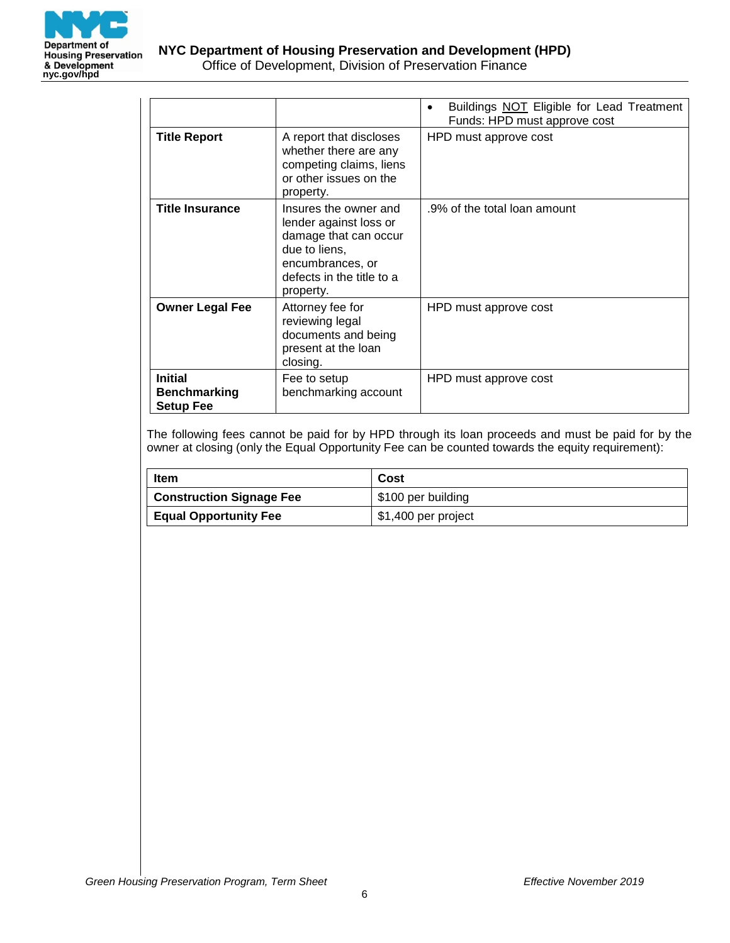

|                                                           |                                                                                                                                                         | Buildings NOT Eligible for Lead Treatment<br>٠<br>Funds: HPD must approve cost |
|-----------------------------------------------------------|---------------------------------------------------------------------------------------------------------------------------------------------------------|--------------------------------------------------------------------------------|
| <b>Title Report</b>                                       | A report that discloses<br>whether there are any<br>competing claims, liens<br>or other issues on the<br>property.                                      | HPD must approve cost                                                          |
| <b>Title Insurance</b>                                    | Insures the owner and<br>lender against loss or<br>damage that can occur<br>due to liens,<br>encumbrances, or<br>defects in the title to a<br>property. | .9% of the total loan amount                                                   |
| <b>Owner Legal Fee</b>                                    | Attorney fee for<br>reviewing legal<br>documents and being<br>present at the loan<br>closing.                                                           | HPD must approve cost                                                          |
| <b>Initial</b><br><b>Benchmarking</b><br><b>Setup Fee</b> | Fee to setup<br>benchmarking account                                                                                                                    | HPD must approve cost                                                          |

The following fees cannot be paid for by HPD through its loan proceeds and must be paid for by the owner at closing (only the Equal Opportunity Fee can be counted towards the equity requirement):

| Item                            | Cost                |
|---------------------------------|---------------------|
| <b>Construction Signage Fee</b> | \$100 per building  |
| <b>Equal Opportunity Fee</b>    | \$1,400 per project |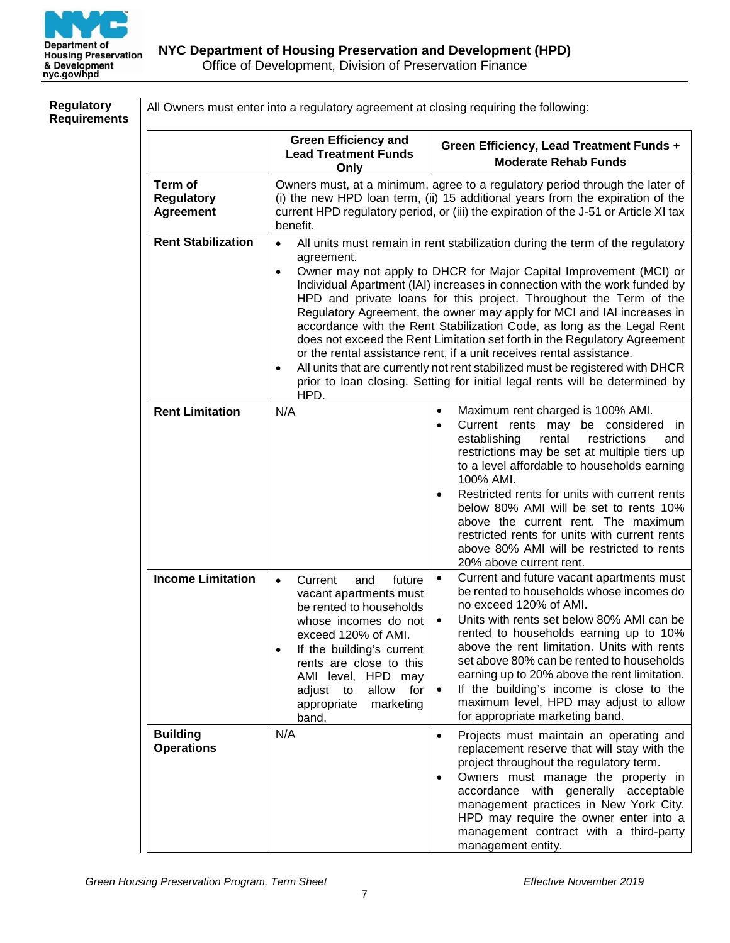

| <b>Regulatory</b><br><b>Requirements</b> | All Owners must enter into a regulatory agreement at closing requiring the following: |                                                                                                                                                                                                                                                                                                        |                                                                                                                                                                                                                                                                                                                                                                                                                                                                                                                                                                                                                                                                                                                                                                                   |  |  |  |
|------------------------------------------|---------------------------------------------------------------------------------------|--------------------------------------------------------------------------------------------------------------------------------------------------------------------------------------------------------------------------------------------------------------------------------------------------------|-----------------------------------------------------------------------------------------------------------------------------------------------------------------------------------------------------------------------------------------------------------------------------------------------------------------------------------------------------------------------------------------------------------------------------------------------------------------------------------------------------------------------------------------------------------------------------------------------------------------------------------------------------------------------------------------------------------------------------------------------------------------------------------|--|--|--|
|                                          |                                                                                       | <b>Green Efficiency and</b><br><b>Lead Treatment Funds</b><br>Only                                                                                                                                                                                                                                     | Green Efficiency, Lead Treatment Funds +<br><b>Moderate Rehab Funds</b>                                                                                                                                                                                                                                                                                                                                                                                                                                                                                                                                                                                                                                                                                                           |  |  |  |
|                                          | Term of<br><b>Regulatory</b><br><b>Agreement</b>                                      | Owners must, at a minimum, agree to a regulatory period through the later of<br>(i) the new HPD loan term, (ii) 15 additional years from the expiration of the<br>current HPD regulatory period, or (iii) the expiration of the J-51 or Article XI tax<br>benefit.                                     |                                                                                                                                                                                                                                                                                                                                                                                                                                                                                                                                                                                                                                                                                                                                                                                   |  |  |  |
|                                          | <b>Rent Stabilization</b>                                                             | $\bullet$<br>agreement.<br>$\bullet$<br>HPD.                                                                                                                                                                                                                                                           | All units must remain in rent stabilization during the term of the regulatory<br>Owner may not apply to DHCR for Major Capital Improvement (MCI) or<br>Individual Apartment (IAI) increases in connection with the work funded by<br>HPD and private loans for this project. Throughout the Term of the<br>Regulatory Agreement, the owner may apply for MCI and IAI increases in<br>accordance with the Rent Stabilization Code, as long as the Legal Rent<br>does not exceed the Rent Limitation set forth in the Regulatory Agreement<br>or the rental assistance rent, if a unit receives rental assistance.<br>All units that are currently not rent stabilized must be registered with DHCR<br>prior to loan closing. Setting for initial legal rents will be determined by |  |  |  |
|                                          | <b>Rent Limitation</b>                                                                | N/A                                                                                                                                                                                                                                                                                                    | Maximum rent charged is 100% AMI.<br>$\bullet$<br>Current rents may be considered in<br>$\bullet$<br>establishing<br>rental<br>restrictions<br>and<br>restrictions may be set at multiple tiers up<br>to a level affordable to households earning<br>100% AMI.<br>Restricted rents for units with current rents<br>$\bullet$<br>below 80% AMI will be set to rents 10%<br>above the current rent. The maximum<br>restricted rents for units with current rents<br>above 80% AMI will be restricted to rents<br>20% above current rent.                                                                                                                                                                                                                                            |  |  |  |
|                                          | <b>Income Limitation</b>                                                              | future<br>Current<br>and<br>$\bullet$<br>vacant apartments must<br>be rented to households<br>whose incomes do not<br>exceed 120% of AMI.<br>If the building's current<br>$\bullet$<br>rents are close to this<br>AMI level, HPD may<br>allow<br>for<br>adjust to<br>appropriate<br>marketing<br>band. | Current and future vacant apartments must<br>$\bullet$<br>be rented to households whose incomes do<br>no exceed 120% of AMI.<br>Units with rents set below 80% AMI can be<br>$\bullet$<br>rented to households earning up to 10%<br>above the rent limitation. Units with rents<br>set above 80% can be rented to households<br>earning up to 20% above the rent limitation.<br>If the building's income is close to the<br>$\bullet$<br>maximum level, HPD may adjust to allow<br>for appropriate marketing band.                                                                                                                                                                                                                                                                |  |  |  |
|                                          | <b>Building</b><br><b>Operations</b>                                                  | N/A                                                                                                                                                                                                                                                                                                    | Projects must maintain an operating and<br>$\bullet$<br>replacement reserve that will stay with the<br>project throughout the regulatory term.<br>Owners must manage the property in<br>$\bullet$<br>accordance with generally acceptable<br>management practices in New York City.<br>HPD may require the owner enter into a<br>management contract with a third-party<br>management entity.                                                                                                                                                                                                                                                                                                                                                                                     |  |  |  |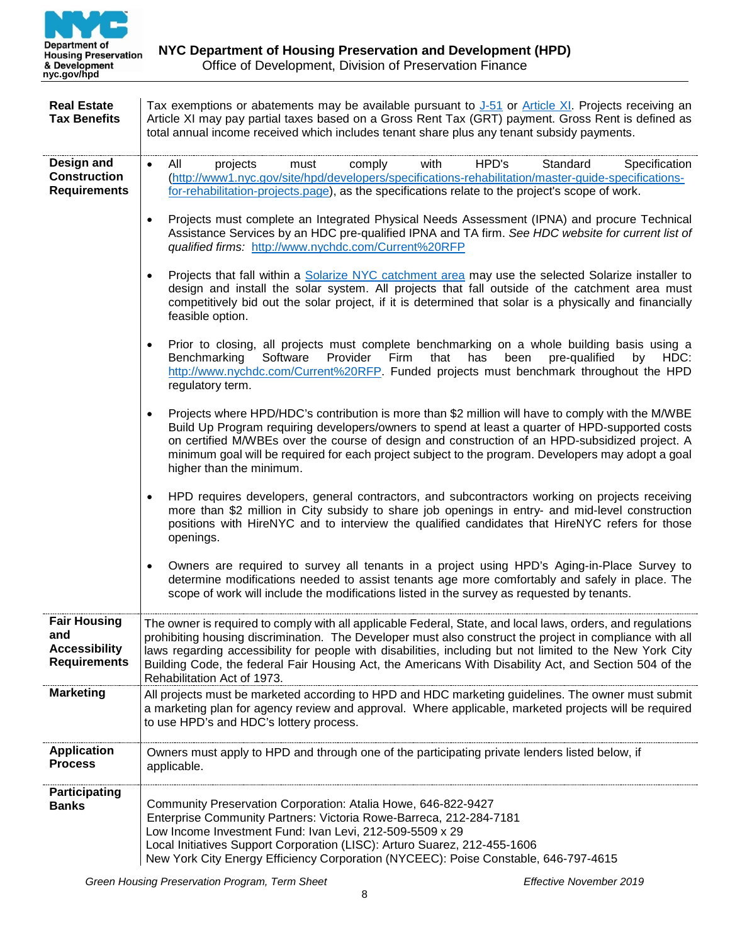

| <b>Real Estate</b><br><b>Tax Benefits</b>                                 | Tax exemptions or abatements may be available pursuant to $J-51$ or Article XI. Projects receiving an<br>Article XI may pay partial taxes based on a Gross Rent Tax (GRT) payment. Gross Rent is defined as<br>total annual income received which includes tenant share plus any tenant subsidy payments.                                                                                                                                                                     |
|---------------------------------------------------------------------------|-------------------------------------------------------------------------------------------------------------------------------------------------------------------------------------------------------------------------------------------------------------------------------------------------------------------------------------------------------------------------------------------------------------------------------------------------------------------------------|
| Design and<br><b>Construction</b><br><b>Requirements</b>                  | All<br>with<br>HPD's<br>Standard<br>Specification<br>projects<br>comply<br>must<br>$\bullet$<br>(http://www1.nyc.gov/site/hpd/developers/specifications-rehabilitation/master-guide-specifications-<br>for-rehabilitation-projects.page), as the specifications relate to the project's scope of work.                                                                                                                                                                        |
|                                                                           | Projects must complete an Integrated Physical Needs Assessment (IPNA) and procure Technical<br>$\bullet$<br>Assistance Services by an HDC pre-qualified IPNA and TA firm. See HDC website for current list of<br>qualified firms: http://www.nychdc.com/Current%20RFP                                                                                                                                                                                                         |
|                                                                           | Projects that fall within a <b>Solarize NYC</b> catchment area may use the selected Solarize installer to<br>$\bullet$<br>design and install the solar system. All projects that fall outside of the catchment area must<br>competitively bid out the solar project, if it is determined that solar is a physically and financially<br>feasible option.                                                                                                                       |
|                                                                           | Prior to closing, all projects must complete benchmarking on a whole building basis using a<br>$\bullet$<br>Benchmarking<br>Software<br>Provider<br>Firm<br>that<br>has<br>been<br>pre-qualified<br>HDC:<br>by<br>http://www.nychdc.com/Current%20RFP. Funded projects must benchmark throughout the HPD<br>regulatory term.                                                                                                                                                  |
|                                                                           | Projects where HPD/HDC's contribution is more than \$2 million will have to comply with the M/WBE<br>$\bullet$<br>Build Up Program requiring developers/owners to spend at least a quarter of HPD-supported costs<br>on certified M/WBEs over the course of design and construction of an HPD-subsidized project. A<br>minimum goal will be required for each project subject to the program. Developers may adopt a goal<br>higher than the minimum.                         |
|                                                                           | HPD requires developers, general contractors, and subcontractors working on projects receiving<br>$\bullet$<br>more than \$2 million in City subsidy to share job openings in entry- and mid-level construction<br>positions with HireNYC and to interview the qualified candidates that HireNYC refers for those<br>openings.                                                                                                                                                |
|                                                                           | Owners are required to survey all tenants in a project using HPD's Aging-in-Place Survey to<br>$\bullet$<br>determine modifications needed to assist tenants age more comfortably and safely in place. The<br>scope of work will include the modifications listed in the survey as requested by tenants.                                                                                                                                                                      |
| <b>Fair Housing</b><br>and<br><b>Accessibility</b><br><b>Requirements</b> | The owner is required to comply with all applicable Federal, State, and local laws, orders, and regulations<br>prohibiting housing discrimination. The Developer must also construct the project in compliance with all<br>laws regarding accessibility for people with disabilities, including but not limited to the New York City<br>Building Code, the federal Fair Housing Act, the Americans With Disability Act, and Section 504 of the<br>Rehabilitation Act of 1973. |
| <b>Marketing</b>                                                          | All projects must be marketed according to HPD and HDC marketing guidelines. The owner must submit<br>a marketing plan for agency review and approval. Where applicable, marketed projects will be required<br>to use HPD's and HDC's lottery process.                                                                                                                                                                                                                        |
| <b>Application</b><br><b>Process</b>                                      | Owners must apply to HPD and through one of the participating private lenders listed below, if<br>applicable.                                                                                                                                                                                                                                                                                                                                                                 |
| <b>Participating</b><br><b>Banks</b>                                      | Community Preservation Corporation: Atalia Howe, 646-822-9427<br>Enterprise Community Partners: Victoria Rowe-Barreca, 212-284-7181<br>Low Income Investment Fund: Ivan Levi, 212-509-5509 x 29<br>Local Initiatives Support Corporation (LISC): Arturo Suarez, 212-455-1606<br>New York City Energy Efficiency Corporation (NYCEEC): Poise Constable, 646-797-4615                                                                                                           |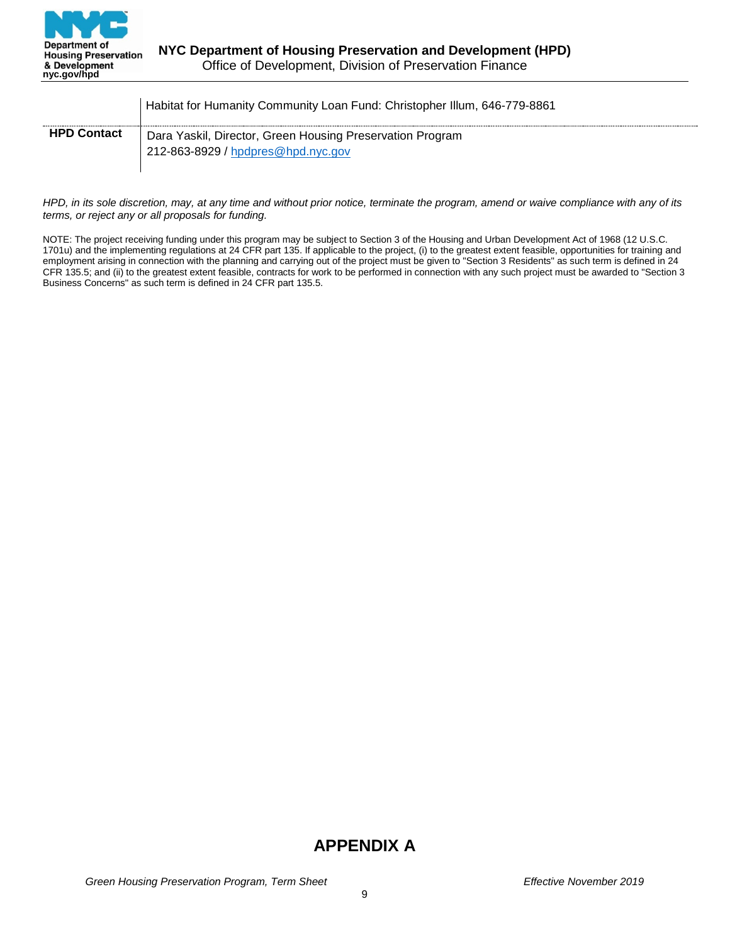

|                    | Habitat for Humanity Community Loan Fund: Christopher Illum, 646-779-8861                       |
|--------------------|-------------------------------------------------------------------------------------------------|
| <b>HPD Contact</b> | Dara Yaskil, Director, Green Housing Preservation Program<br>212-863-8929 / hpdpres@hpd.nyc.gov |

*HPD, in its sole discretion, may, at any time and without prior notice, terminate the program, amend or waive compliance with any of its terms, or reject any or all proposals for funding.*

NOTE: The project receiving funding under this program may be subject to Section 3 of the Housing and Urban Development Act of 1968 (12 U.S.C. 1701u) and the implementing regulations at 24 CFR part 135. If applicable to the project, (i) to the greatest extent feasible, opportunities for training and employment arising in connection with the planning and carrying out of the project must be given to "Section 3 Residents" as such term is defined in 24 CFR 135.5; and (ii) to the greatest extent feasible, contracts for work to be performed in connection with any such project must be awarded to "Section 3 Business Concerns" as such term is defined in 24 CFR part 135.5.

# **APPENDIX A**